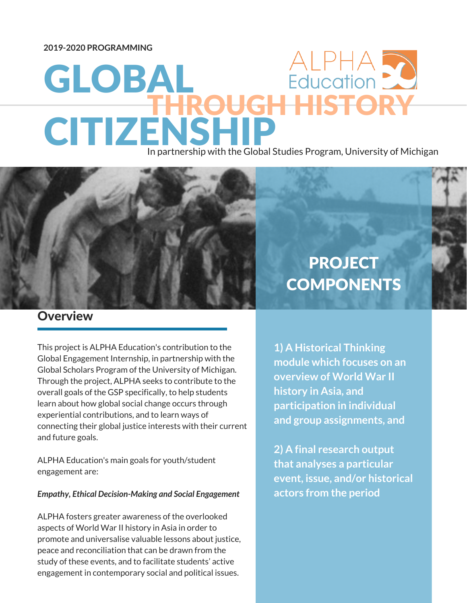**2019-2020 PROGRAMMING**

# ALPHA 2 GLOBAL **HHISTORY CITIZENSH**

In partnership with the Global Studies Program, University of Michigan



This project is ALPHA Education's contribution to the Global Engagement Internship, in partnership with the Global Scholars Program of the University of Michigan. Through the project, ALPHA seeks to contribute to the overall goals of the GSP specifically, to help students learn about how global social change occurs through experiential contributions, and to learn ways of connecting their global justice interests with their current and future goals.

Updates for the parents of Beechtown High School and Beechtown High School and School and

ALPHA Education's main goals for youth/student engagement are:

#### *Empathy, Ethical Decision-Making and Social Engagement*

ALPHA fosters greater awareness of the overlooked aspects of World War II history in Asia in order to promote and universalise valuable lessons about justice, peace and reconciliation that can be drawn from the study of these events, and to facilitate students' active engagement in contemporary social and political issues.

## **PROJECT COMPONENTS**

**1) A Historical Thinking module which focuses on an overview of World War II history in Asia, and participation in individual and group assignments, and**

**2) A final research output that analyses a particular event, issue, and/or historical actors from the period**